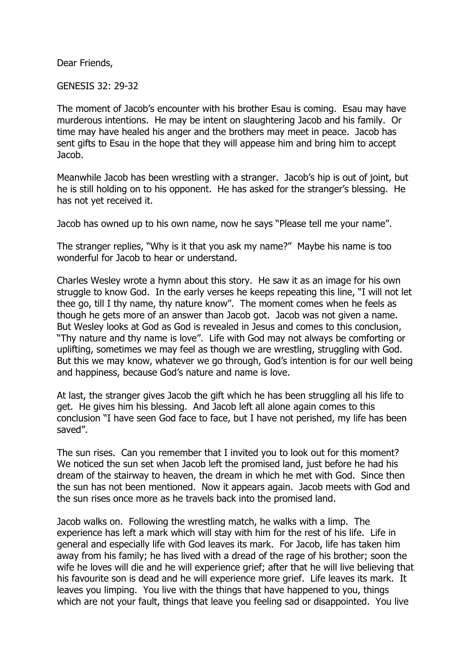Dear Friends,

GENESIS 32: 29-32

The moment of Jacob's encounter with his brother Esau is coming. Esau may have murderous intentions. He may be intent on slaughtering Jacob and his family. Or time may have healed his anger and the brothers may meet in peace. Jacob has sent gifts to Esau in the hope that they will appease him and bring him to accept Jacob.

Meanwhile Jacob has been wrestling with a stranger. Jacob's hip is out of joint, but he is still holding on to his opponent. He has asked for the stranger's blessing. He has not yet received it.

Jacob has owned up to his own name, now he says "Please tell me your name".

The stranger replies, "Why is it that you ask my name?" Maybe his name is too wonderful for Jacob to hear or understand.

Charles Wesley wrote a hymn about this story. He saw it as an image for his own struggle to know God. In the early verses he keeps repeating this line, "I will not let thee go, till I thy name, thy nature know". The moment comes when he feels as though he gets more of an answer than Jacob got. Jacob was not given a name. But Wesley looks at God as God is revealed in Jesus and comes to this conclusion, "Thy nature and thy name is love". Life with God may not always be comforting or uplifting, sometimes we may feel as though we are wrestling, struggling with God. But this we may know, whatever we go through, God's intention is for our well being and happiness, because God's nature and name is love.

At last, the stranger gives Jacob the gift which he has been struggling all his life to get. He gives him his blessing. And Jacob left all alone again comes to this conclusion "I have seen God face to face, but I have not perished, my life has been saved".

The sun rises. Can you remember that I invited you to look out for this moment? We noticed the sun set when Jacob left the promised land, just before he had his dream of the stairway to heaven, the dream in which he met with God. Since then the sun has not been mentioned. Now it appears again. Jacob meets with God and the sun rises once more as he travels back into the promised land.

Jacob walks on. Following the wrestling match, he walks with a limp. The experience has left a mark which will stay with him for the rest of his life. Life in general and especially life with God leaves its mark. For Jacob, life has taken him away from his family; he has lived with a dread of the rage of his brother; soon the wife he loves will die and he will experience grief; after that he will live believing that his favourite son is dead and he will experience more grief. Life leaves its mark. It leaves you limping. You live with the things that have happened to you, things which are not your fault, things that leave you feeling sad or disappointed. You live